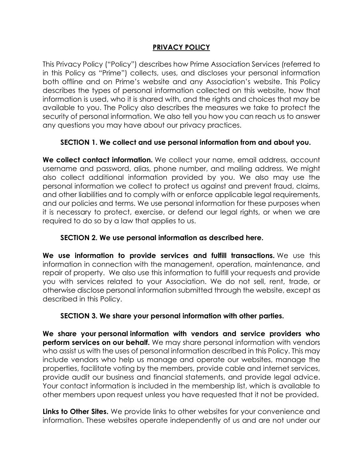# **PRIVACY POLICY**

This Privacy Policy ("Policy") describes how Prime Association Services (referred to in this Policy as "Prime") collects, uses, and discloses your personal information both offline and on Prime's website and any Association's website. This Policy describes the types of personal information collected on this website, how that information is used, who it is shared with, and the rights and choices that may be available to you. The Policy also describes the measures we take to protect the security of personal information. We also tell you how you can reach us to answer any questions you may have about our privacy practices.

# **SECTION 1. We collect and use personal information from and about you.**

**We collect contact information.** We collect your name, email address, account username and password, alias, phone number, and mailing address. We might also collect additional information provided by you. We also may use the personal information we collect to protect us against and prevent fraud, claims, and other liabilities and to comply with or enforce applicable legal requirements, and our policies and terms. We use personal information for these purposes when it is necessary to protect, exercise, or defend our legal rights, or when we are required to do so by a law that applies to us.

## **SECTION 2. We use personal information as described here.**

**We use information to provide services and fulfill transactions.** We use this information in connection with the management, operation, maintenance, and repair of property. We also use this information to fulfill your requests and provide you with services related to your Association. We do not sell, rent, trade, or otherwise disclose personal information submitted through the website, except as described in this Policy.

### **SECTION 3. We share your personal information with other parties.**

**We share your personal information with vendors and service providers who perform services on our behalf.** We may share personal information with vendors who assist us with the uses of personal information described in this Policy. This may include vendors who help us manage and operate our websites, manage the properties, facilitate voting by the members, provide cable and internet services, provide audit our business and financial statements, and provide legal advice. Your contact information is included in the membership list, which is available to other members upon request unless you have requested that it not be provided.

**Links to Other Sites.** We provide links to other websites for your convenience and information. These websites operate independently of us and are not under our